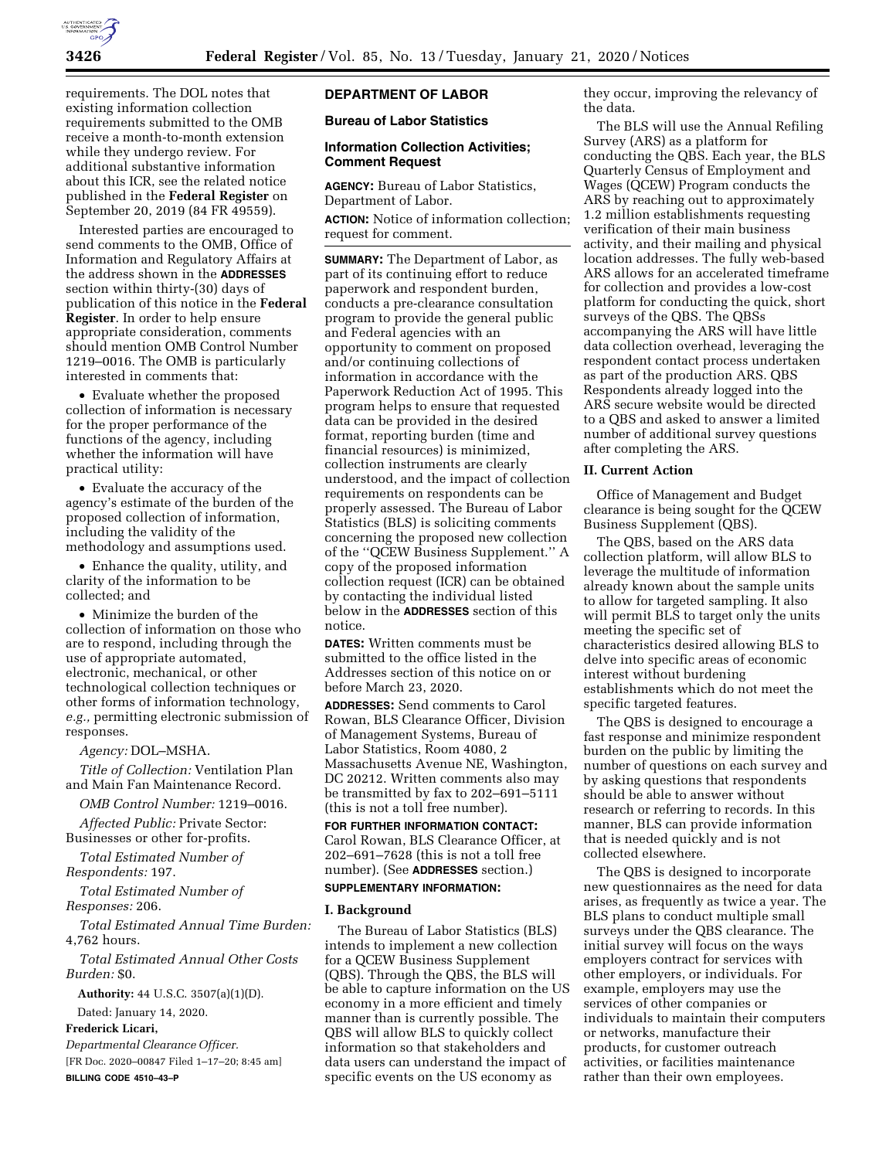

requirements. The DOL notes that existing information collection requirements submitted to the OMB receive a month-to-month extension while they undergo review. For additional substantive information about this ICR, see the related notice published in the **Federal Register** on September 20, 2019 (84 FR 49559).

Interested parties are encouraged to send comments to the OMB, Office of Information and Regulatory Affairs at the address shown in the **ADDRESSES** section within thirty-(30) days of publication of this notice in the **Federal Register**. In order to help ensure appropriate consideration, comments should mention OMB Control Number 1219–0016. The OMB is particularly interested in comments that:

• Evaluate whether the proposed collection of information is necessary for the proper performance of the functions of the agency, including whether the information will have practical utility:

• Evaluate the accuracy of the agency's estimate of the burden of the proposed collection of information, including the validity of the methodology and assumptions used.

• Enhance the quality, utility, and clarity of the information to be collected; and

• Minimize the burden of the collection of information on those who are to respond, including through the use of appropriate automated, electronic, mechanical, or other technological collection techniques or other forms of information technology, *e.g.,* permitting electronic submission of responses.

*Agency:* DOL–MSHA.

*Title of Collection:* Ventilation Plan and Main Fan Maintenance Record.

*OMB Control Number:* 1219–0016.

*Affected Public:* Private Sector: Businesses or other for-profits.

*Total Estimated Number of Respondents:* 197.

*Total Estimated Number of Responses:* 206.

*Total Estimated Annual Time Burden:*  4,762 hours.

*Total Estimated Annual Other Costs Burden:* \$0.

**Authority:** 44 U.S.C. 3507(a)(1)(D).

Dated: January 14, 2020.

**Frederick Licari,** 

*Departmental Clearance Officer.*  [FR Doc. 2020–00847 Filed 1–17–20; 8:45 am] **BILLING CODE 4510–43–P** 

## **DEPARTMENT OF LABOR**

**Bureau of Labor Statistics** 

#### **Information Collection Activities; Comment Request**

**AGENCY:** Bureau of Labor Statistics, Department of Labor.

**ACTION:** Notice of information collection; request for comment.

**SUMMARY:** The Department of Labor, as part of its continuing effort to reduce paperwork and respondent burden, conducts a pre-clearance consultation program to provide the general public and Federal agencies with an opportunity to comment on proposed and/or continuing collections of information in accordance with the Paperwork Reduction Act of 1995. This program helps to ensure that requested data can be provided in the desired format, reporting burden (time and financial resources) is minimized, collection instruments are clearly understood, and the impact of collection requirements on respondents can be properly assessed. The Bureau of Labor Statistics (BLS) is soliciting comments concerning the proposed new collection of the ''QCEW Business Supplement.'' A copy of the proposed information collection request (ICR) can be obtained by contacting the individual listed below in the **ADDRESSES** section of this notice.

**DATES:** Written comments must be submitted to the office listed in the Addresses section of this notice on or before March 23, 2020.

**ADDRESSES:** Send comments to Carol Rowan, BLS Clearance Officer, Division of Management Systems, Bureau of Labor Statistics, Room 4080, 2 Massachusetts Avenue NE, Washington, DC 20212. Written comments also may be transmitted by fax to 202–691–5111 (this is not a toll free number).

**FOR FURTHER INFORMATION CONTACT:**  Carol Rowan, BLS Clearance Officer, at 202–691–7628 (this is not a toll free number). (See **ADDRESSES** section.) **SUPPLEMENTARY INFORMATION:** 

### **I. Background**

The Bureau of Labor Statistics (BLS) intends to implement a new collection for a QCEW Business Supplement (QBS). Through the QBS, the BLS will be able to capture information on the US economy in a more efficient and timely manner than is currently possible. The QBS will allow BLS to quickly collect information so that stakeholders and data users can understand the impact of specific events on the US economy as

they occur, improving the relevancy of the data.

The BLS will use the Annual Refiling Survey (ARS) as a platform for conducting the QBS. Each year, the BLS Quarterly Census of Employment and Wages (QCEW) Program conducts the ARS by reaching out to approximately 1.2 million establishments requesting verification of their main business activity, and their mailing and physical location addresses. The fully web-based ARS allows for an accelerated timeframe for collection and provides a low-cost platform for conducting the quick, short surveys of the QBS. The QBSs accompanying the ARS will have little data collection overhead, leveraging the respondent contact process undertaken as part of the production ARS. QBS Respondents already logged into the ARS secure website would be directed to a QBS and asked to answer a limited number of additional survey questions after completing the ARS.

#### **II. Current Action**

Office of Management and Budget clearance is being sought for the QCEW Business Supplement (QBS).

The QBS, based on the ARS data collection platform, will allow BLS to leverage the multitude of information already known about the sample units to allow for targeted sampling. It also will permit BLS to target only the units meeting the specific set of characteristics desired allowing BLS to delve into specific areas of economic interest without burdening establishments which do not meet the specific targeted features.

The QBS is designed to encourage a fast response and minimize respondent burden on the public by limiting the number of questions on each survey and by asking questions that respondents should be able to answer without research or referring to records. In this manner, BLS can provide information that is needed quickly and is not collected elsewhere.

The QBS is designed to incorporate new questionnaires as the need for data arises, as frequently as twice a year. The BLS plans to conduct multiple small surveys under the QBS clearance. The initial survey will focus on the ways employers contract for services with other employers, or individuals. For example, employers may use the services of other companies or individuals to maintain their computers or networks, manufacture their products, for customer outreach activities, or facilities maintenance rather than their own employees.